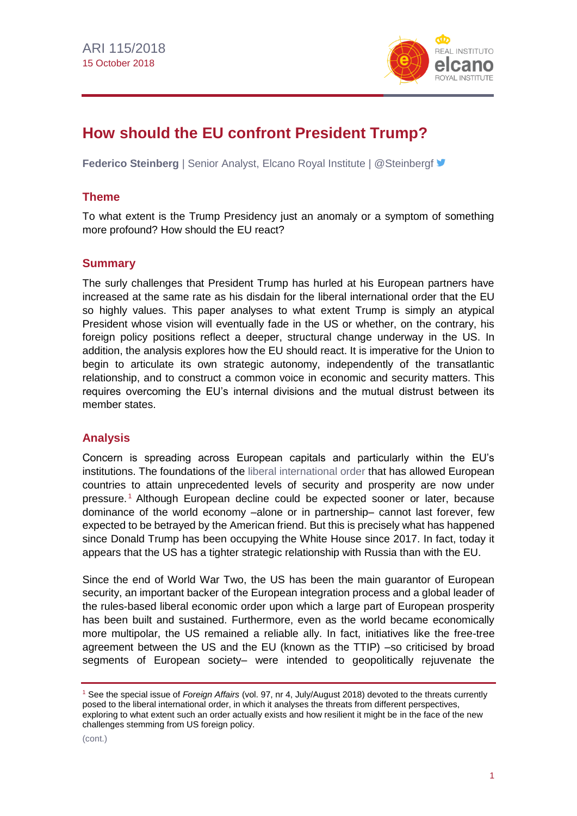

# **How should the EU confront President Trump?**

**Federico Steinberg** | Senior Analyst, Elcano Royal Institute | @Steinbergf

## **Theme**

To what extent is the Trump Presidency just an anomaly or a symptom of something more profound? How should the EU react?

#### **Summary**

The surly challenges that President Trump has hurled at his European partners have increased at the same rate as his disdain for the liberal international order that the EU so highly values. This paper analyses to what extent Trump is simply an atypical President whose vision will eventually fade in the US or whether, on the contrary, his foreign policy positions reflect a deeper, structural change underway in the US. In addition, the analysis explores how the EU should react. It is imperative for the Union to begin to articulate its own strategic autonomy, independently of the transatlantic relationship, and to construct a common voice in economic and security matters. This requires overcoming the EU's internal divisions and the mutual distrust between its member states.

#### **Analysis**

Concern is spreading across European capitals and particularly within the EU's institutions. The foundations of the [liberal international order](http://www.realinstitutoelcano.org/wps/portal/rielcano_en/contenido?WCM_GLOBAL_CONTEXT=/elcano/elcano_es/zonas_es/asia-pacifico/ari10-2018-esteban-simon-europe-japan-cooperation-rules-based-international-liberal-order) that has allowed European countries to attain unprecedented levels of security and prosperity are now under pressure. <sup>1</sup> Although European decline could be expected sooner or later, because dominance of the world economy –alone or in partnership– cannot last forever, few expected to be betrayed by the American friend. But this is precisely what has happened since Donald Trump has been occupying the White House since 2017. In fact, today it appears that the US has a tighter strategic relationship with Russia than with the EU.

Since the end of World War Two, the US has been the main guarantor of European security, an important backer of the European integration process and a global leader of the rules-based liberal economic order upon which a large part of European prosperity has been built and sustained. Furthermore, even as the world became economically more multipolar, the US remained a reliable ally. In fact, initiatives like the free-tree agreement between the US and the EU (known as the TTIP) –so criticised by broad segments of European society– were intended to geopolitically rejuvenate the

<sup>1</sup> See the special issue of *Foreign Affairs* (vol. 97, nr 4, July/August 2018) devoted to the threats currently posed to the liberal international order, in which it analyses the threats from different perspectives, exploring to what extent such an order actually exists and how resilient it might be in the face of the new challenges stemming from US foreign policy.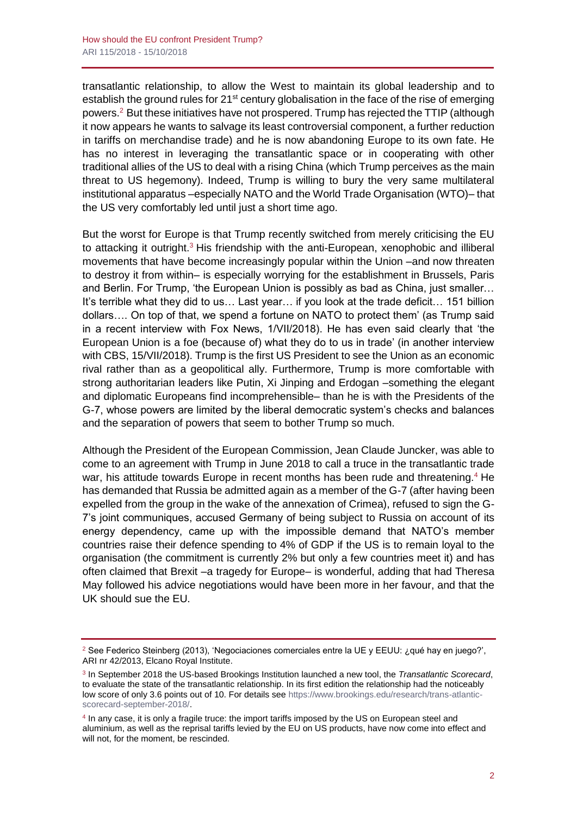transatlantic relationship, to allow the West to maintain its global leadership and to establish the ground rules for 21<sup>st</sup> century globalisation in the face of the rise of emerging powers.<sup>2</sup> But these initiatives have not prospered. Trump has rejected the TTIP (although it now appears he wants to salvage its least controversial component, a further reduction in tariffs on merchandise trade) and he is now abandoning Europe to its own fate. He has no interest in leveraging the transatlantic space or in cooperating with other traditional allies of the US to deal with a rising China (which Trump perceives as the main threat to US hegemony). Indeed, Trump is willing to bury the very same multilateral institutional apparatus –especially NATO and the World Trade Organisation (WTO)– that the US very comfortably led until just a short time ago.

But the worst for Europe is that Trump recently switched from merely criticising the EU to attacking it outright.<sup>3</sup> His friendship with the anti-European, xenophobic and illiberal movements that have become increasingly popular within the Union –and now threaten to destroy it from within– is especially worrying for the establishment in Brussels, Paris and Berlin. For Trump, 'the European Union is possibly as bad as China, just smaller… It's terrible what they did to us… Last year… if you look at the trade deficit… 151 billion dollars…. On top of that, we spend a fortune on NATO to protect them' (as Trump said in a recent interview with Fox News, 1/VII/2018). He has even said clearly that 'the European Union is a foe (because of) what they do to us in trade' (in another interview with CBS, 15/VII/2018). Trump is the first US President to see the Union as an economic rival rather than as a geopolitical ally. Furthermore, Trump is more comfortable with strong authoritarian leaders like Putin, Xi Jinping and Erdogan –something the elegant and diplomatic Europeans find incomprehensible– than he is with the Presidents of the G-7, whose powers are limited by the liberal democratic system's checks and balances and the separation of powers that seem to bother Trump so much.

Although the President of the European Commission, Jean Claude Juncker, was able to come to an agreement with Trump in June 2018 to call a truce in the transatlantic trade war, his attitude towards Europe in recent months has been rude and threatening.<sup>4</sup> He has demanded that Russia be admitted again as a member of the G-7 (after having been expelled from the group in the wake of the annexation of Crimea), refused to sign the G-7's joint communiques, accused Germany of being subject to Russia on account of its energy dependency, came up with the impossible demand that NATO's member countries raise their defence spending to 4% of GDP if the US is to remain loyal to the organisation (the commitment is currently 2% but only a few countries meet it) and has often claimed that Brexit –a tragedy for Europe– is wonderful, adding that had Theresa May followed his advice negotiations would have been more in her favour, and that the UK should sue the EU.

<sup>&</sup>lt;sup>2</sup> See Federico Steinberg (2013), 'Negociaciones comerciales entre la UE y EEUU: ¿qué hay en juego?', ARI nr 42/2013, Elcano Royal Institute.

<sup>3</sup> In September 2018 the US-based Brookings Institution launched a new tool, the *Transatlantic Scorecard*, to evaluate the state of the transatlantic relationship. In its first edition the relationship had the noticeably low score of only 3.6 points out of 10. For details se[e https://www.brookings.edu/research/trans-atlantic](https://www.brookings.edu/research/trans-atlantic-scorecard-september-2018/)[scorecard-september-2018/.](https://www.brookings.edu/research/trans-atlantic-scorecard-september-2018/)

<sup>4</sup> In any case, it is only a fragile truce: the import tariffs imposed by the US on European steel and aluminium, as well as the reprisal tariffs levied by the EU on US products, have now come into effect and will not, for the moment, be rescinded.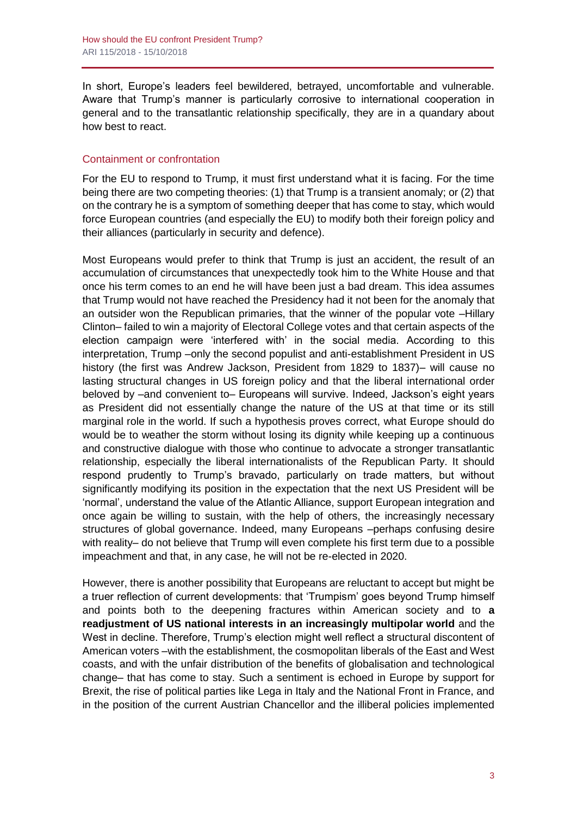In short, Europe's leaders feel bewildered, betrayed, uncomfortable and vulnerable. Aware that Trump's manner is particularly corrosive to international cooperation in general and to the transatlantic relationship specifically, they are in a quandary about how best to react.

#### Containment or confrontation

For the EU to respond to Trump, it must first understand what it is facing. For the time being there are two competing theories: (1) that Trump is a transient anomaly; or (2) that on the contrary he is a symptom of something deeper that has come to stay, which would force European countries (and especially the EU) to modify both their foreign policy and their alliances (particularly in security and defence).

Most Europeans would prefer to think that Trump is just an accident, the result of an accumulation of circumstances that unexpectedly took him to the White House and that once his term comes to an end he will have been just a bad dream. This idea assumes that Trump would not have reached the Presidency had it not been for the anomaly that an outsider won the Republican primaries, that the winner of the popular vote –Hillary Clinton– failed to win a majority of Electoral College votes and that certain aspects of the election campaign were 'interfered with' in the social media. According to this interpretation, Trump –only the second populist and anti-establishment President in US history (the first was Andrew Jackson, President from 1829 to 1837)– will cause no lasting structural changes in US foreign policy and that the liberal international order beloved by –and convenient to– Europeans will survive. Indeed, Jackson's eight years as President did not essentially change the nature of the US at that time or its still marginal role in the world. If such a hypothesis proves correct, what Europe should do would be to weather the storm without losing its dignity while keeping up a continuous and constructive dialogue with those who continue to advocate a stronger transatlantic relationship, especially the liberal internationalists of the Republican Party. It should respond prudently to Trump's bravado, particularly on trade matters, but without significantly modifying its position in the expectation that the next US President will be 'normal', understand the value of the Atlantic Alliance, support European integration and once again be willing to sustain, with the help of others, the increasingly necessary structures of global governance. Indeed, many Europeans –perhaps confusing desire with reality– do not believe that Trump will even complete his first term due to a possible impeachment and that, in any case, he will not be re-elected in 2020.

However, there is another possibility that Europeans are reluctant to accept but might be a truer reflection of current developments: that 'Trumpism' goes beyond Trump himself and points both to the deepening fractures within American society and to **a readjustment of US national interests in an increasingly multipolar world** and the West in decline. Therefore, Trump's election might well reflect a structural discontent of American voters –with the establishment, the cosmopolitan liberals of the East and West coasts, and with the unfair distribution of the benefits of globalisation and technological change– that has come to stay. Such a sentiment is echoed in Europe by support for Brexit, the rise of political parties like Lega in Italy and the National Front in France, and in the position of the current Austrian Chancellor and the illiberal policies implemented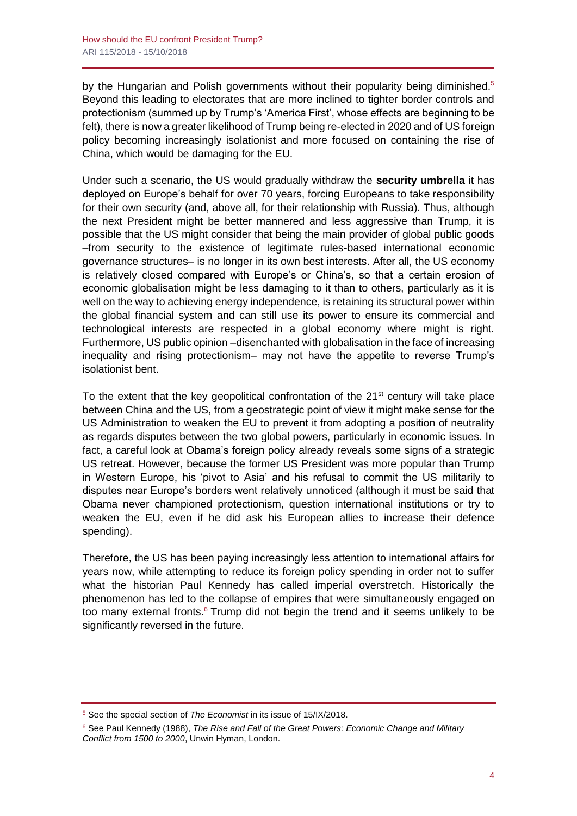by the Hungarian and Polish governments without their popularity being diminished.<sup>5</sup> Beyond this leading to electorates that are more inclined to tighter border controls and protectionism (summed up by Trump's 'America First', whose effects are beginning to be felt), there is now a greater likelihood of Trump being re-elected in 2020 and of US foreign policy becoming increasingly isolationist and more focused on containing the rise of China, which would be damaging for the EU.

Under such a scenario, the US would gradually withdraw the **security umbrella** it has deployed on Europe's behalf for over 70 years, forcing Europeans to take responsibility for their own security (and, above all, for their relationship with Russia). Thus, although the next President might be better mannered and less aggressive than Trump, it is possible that the US might consider that being the main provider of global public goods –from security to the existence of legitimate rules-based international economic governance structures– is no longer in its own best interests. After all, the US economy is relatively closed compared with Europe's or China's, so that a certain erosion of economic globalisation might be less damaging to it than to others, particularly as it is well on the way to achieving energy independence, is retaining its structural power within the global financial system and can still use its power to ensure its commercial and technological interests are respected in a global economy where might is right. Furthermore, US public opinion –disenchanted with globalisation in the face of increasing inequality and rising protectionism– may not have the appetite to reverse Trump's isolationist bent.

To the extent that the key geopolitical confrontation of the  $21<sup>st</sup>$  century will take place between China and the US, from a geostrategic point of view it might make sense for the US Administration to weaken the EU to prevent it from adopting a position of neutrality as regards disputes between the two global powers, particularly in economic issues. In fact, a careful look at Obama's foreign policy already reveals some signs of a strategic US retreat. However, because the former US President was more popular than Trump in Western Europe, his 'pivot to Asia' and his refusal to commit the US militarily to disputes near Europe's borders went relatively unnoticed (although it must be said that Obama never championed protectionism, question international institutions or try to weaken the EU, even if he did ask his European allies to increase their defence spending).

Therefore, the US has been paying increasingly less attention to international affairs for years now, while attempting to reduce its foreign policy spending in order not to suffer what the historian Paul Kennedy has called imperial overstretch. Historically the phenomenon has led to the collapse of empires that were simultaneously engaged on too many external fronts. $6$  Trump did not begin the trend and it seems unlikely to be significantly reversed in the future.

<sup>5</sup> See the special section of *The Economist* in its issue of 15/IX/2018.

<sup>6</sup> See Paul Kennedy (1988), *The Rise and Fall of the Great Powers: Economic Change and Military Conflict from 1500 to 2000*, Unwin Hyman, London.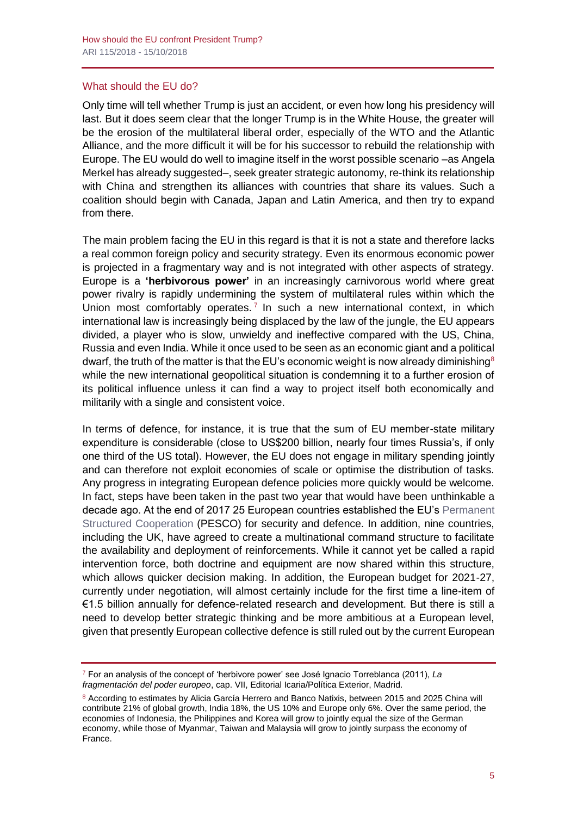#### What should the EU do?

Only time will tell whether Trump is just an accident, or even how long his presidency will last. But it does seem clear that the longer Trump is in the White House, the greater will be the erosion of the multilateral liberal order, especially of the WTO and the Atlantic Alliance, and the more difficult it will be for his successor to rebuild the relationship with Europe. The EU would do well to imagine itself in the worst possible scenario –as Angela Merkel has already suggested–, seek greater strategic autonomy, re-think its relationship with China and strengthen its alliances with countries that share its values. Such a coalition should begin with Canada, Japan and Latin America, and then try to expand from there.

The main problem facing the EU in this regard is that it is not a state and therefore lacks a real common foreign policy and security strategy. Even its enormous economic power is projected in a fragmentary way and is not integrated with other aspects of strategy. Europe is a **'herbivorous power'** in an increasingly carnivorous world where great power rivalry is rapidly undermining the system of multilateral rules within which the Union most comfortably operates.<sup>7</sup> In such a new international context, in which international law is increasingly being displaced by the law of the jungle, the EU appears divided, a player who is slow, unwieldy and ineffective compared with the US, China, Russia and even India. While it once used to be seen as an economic giant and a political dwarf, the truth of the matter is that the EU's economic weight is now already diminishing<sup>8</sup> while the new international geopolitical situation is condemning it to a further erosion of its political influence unless it can find a way to project itself both economically and militarily with a single and consistent voice.

In terms of defence, for instance, it is true that the sum of EU member-state military expenditure is considerable (close to US\$200 billion, nearly four times Russia's, if only one third of the US total). However, the EU does not engage in military spending jointly and can therefore not exploit economies of scale or optimise the distribution of tasks. Any progress in integrating European defence policies more quickly would be welcome. In fact, steps have been taken in the past two year that would have been unthinkable a decade ago. At the end of 2017 25 European countries established the EU's [Permanent](http://www.realinstitutoelcano.org/wps/portal/rielcano_en/contenido?WCM_GLOBAL_CONTEXT=/elcano/elcano_in/zonas_in/ari102-2017-arteaga-strategic-autonomy-european-defence)  [Structured Cooperation](http://www.realinstitutoelcano.org/wps/portal/rielcano_en/contenido?WCM_GLOBAL_CONTEXT=/elcano/elcano_in/zonas_in/ari102-2017-arteaga-strategic-autonomy-european-defence) (PESCO) for security and defence. In addition, nine countries, including the UK, have agreed to create a multinational command structure to facilitate the availability and deployment of reinforcements. While it cannot yet be called a rapid intervention force, both doctrine and equipment are now shared within this structure, which allows quicker decision making. In addition, the European budget for 2021-27, currently under negotiation, will almost certainly include for the first time a line-item of €1.5 billion annually for defence-related research and development. But there is still a need to develop better strategic thinking and be more ambitious at a European level, given that presently European collective defence is still ruled out by the current European

<sup>7</sup> For an analysis of the concept of 'herbivore power' see José Ignacio Torreblanca (2011), *La fragmentación del poder europeo*, cap. VII, Editorial Icaria/Política Exterior, Madrid.

<sup>8</sup> According to estimates by Alicia García Herrero and Banco Natixis, between 2015 and 2025 China will contribute 21% of global growth, India 18%, the US 10% and Europe only 6%. Over the same period, the economies of Indonesia, the Philippines and Korea will grow to jointly equal the size of the German economy, while those of Myanmar, Taiwan and Malaysia will grow to jointly surpass the economy of France.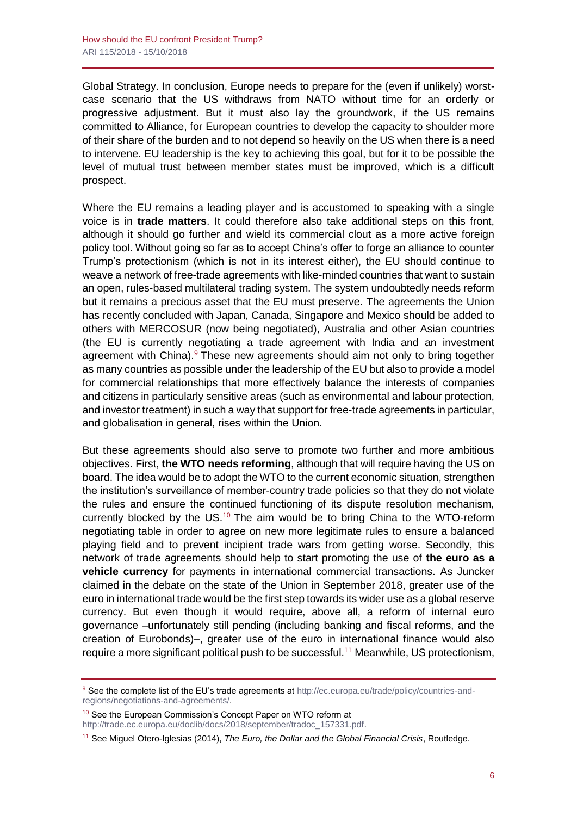Global Strategy. In conclusion, Europe needs to prepare for the (even if unlikely) worstcase scenario that the US withdraws from NATO without time for an orderly or progressive adjustment. But it must also lay the groundwork, if the US remains committed to Alliance, for European countries to develop the capacity to shoulder more of their share of the burden and to not depend so heavily on the US when there is a need to intervene. EU leadership is the key to achieving this goal, but for it to be possible the level of mutual trust between member states must be improved, which is a difficult prospect.

Where the EU remains a leading player and is accustomed to speaking with a single voice is in **trade matters**. It could therefore also take additional steps on this front, although it should go further and wield its commercial clout as a more active foreign policy tool. Without going so far as to accept China's offer to forge an alliance to counter Trump's protectionism (which is not in its interest either), the EU should continue to weave a network of free-trade agreements with like-minded countries that want to sustain an open, rules-based multilateral trading system. The system undoubtedly needs reform but it remains a precious asset that the EU must preserve. The agreements the Union has recently concluded with Japan, Canada, Singapore and Mexico should be added to others with MERCOSUR (now being negotiated), Australia and other Asian countries (the EU is currently negotiating a trade agreement with India and an investment agreement with China).<sup>9</sup> These new agreements should aim not only to bring together as many countries as possible under the leadership of the EU but also to provide a model for commercial relationships that more effectively balance the interests of companies and citizens in particularly sensitive areas (such as environmental and labour protection, and investor treatment) in such a way that support for free-trade agreements in particular, and globalisation in general, rises within the Union.

But these agreements should also serve to promote two further and more ambitious objectives. First, **the WTO needs reforming**, although that will require having the US on board. The idea would be to adopt the WTO to the current economic situation, strengthen the institution's surveillance of member-country trade policies so that they do not violate the rules and ensure the continued functioning of its dispute resolution mechanism, currently blocked by the US.<sup>10</sup> The aim would be to bring China to the WTO-reform negotiating table in order to agree on new more legitimate rules to ensure a balanced playing field and to prevent incipient trade wars from getting worse. Secondly, this network of trade agreements should help to start promoting the use of **the euro as a vehicle currency** for payments in international commercial transactions. As Juncker claimed in the debate on the state of the Union in September 2018, greater use of the euro in international trade would be the first step towards its wider use as a global reserve currency. But even though it would require, above all, a reform of internal euro governance –unfortunately still pending (including banking and fiscal reforms, and the creation of Eurobonds)–, greater use of the euro in international finance would also require a more significant political push to be successful.<sup>11</sup> Meanwhile, US protectionism,

<sup>10</sup> See the European Commission's Concept Paper on WTO reform at [http://trade.ec.europa.eu/doclib/docs/2018/september/tradoc\\_157331.pdf.](http://trade.ec.europa.eu/doclib/docs/2018/september/tradoc_157331.pdf)

<sup>9</sup> See the complete list of the EU's trade agreements at [http://ec.europa.eu/trade/policy/countries-and](http://ec.europa.eu/trade/policy/countries-and-regions/negotiations-and-agreements/)[regions/negotiations-and-agreements/.](http://ec.europa.eu/trade/policy/countries-and-regions/negotiations-and-agreements/)

<sup>11</sup> See Miguel Otero-Iglesias (2014), *The Euro, the Dollar and the Global Financial Crisis*, Routledge.